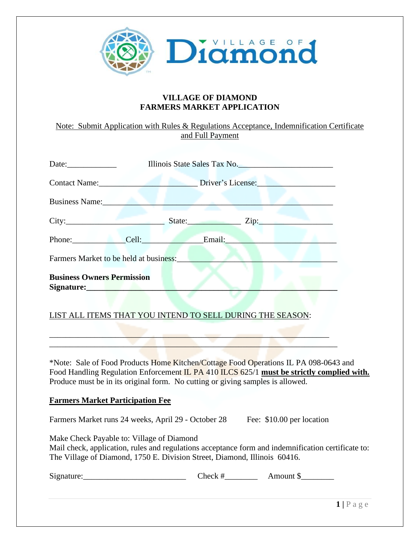

## **VILLAGE OF DIAMOND FARMERS MARKET APPLICATION**

Note: Submit Application with Rules & Regulations Acceptance, Indemnification Certificate and Full Payment

|                                                           | Date: Illinois State Sales Tax No. |  |                                                    |  |  |  |
|-----------------------------------------------------------|------------------------------------|--|----------------------------------------------------|--|--|--|
| <b>Contact Name:</b> Contact Name:                        |                                    |  | Driver's License:                                  |  |  |  |
| <b>Business Name: Example 2018</b>                        |                                    |  |                                                    |  |  |  |
| City: City: City:                                         |                                    |  |                                                    |  |  |  |
| Phone: Cell: Email:                                       |                                    |  |                                                    |  |  |  |
| Farmers Market to be held at business:                    |                                    |  |                                                    |  |  |  |
| <b>Business Owners Permission</b><br>Signature: No. 1996  |                                    |  |                                                    |  |  |  |
| LIST ALL ITEMS THAT YOU INTEND TO SELL DURING THE SEASON: |                                    |  |                                                    |  |  |  |
|                                                           |                                    |  | the committee of the committee of the committee of |  |  |  |

\*Note: Sale of Food Products Home Kitchen/Cottage Food Operations IL PA 098-0643 and Food Handling Regulation Enforcement IL PA 410 ILCS 625/1 **must be strictly complied with.** Produce must be in its original form. No cutting or giving samples is allowed.

## **Farmers Market Participation Fee**

Farmers Market runs 24 weeks, April 29 - October 28 Fee: \$10.00 per location

 $\blacksquare$ 

Make Check Payable to: Village of Diamond Mail check, application, rules and regulations acceptance form and indemnification certificate to: The Village of Diamond, 1750 E. Division Street, Diamond, Illinois 60416.

Signature: Check # Amount \$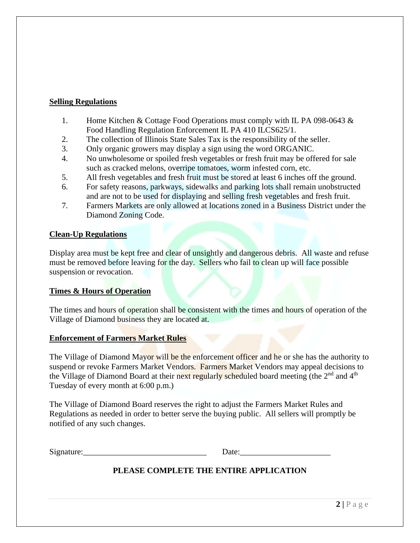### **Selling Regulations**

- 1. Home Kitchen & Cottage Food Operations must comply with IL PA 098-0643 & Food Handling Regulation Enforcement IL PA 410 ILCS625/1.
- 2. The collection of Illinois State Sales Tax is the responsibility of the seller.
- 3. Only organic growers may display a sign using the word ORGANIC.
- 4. No unwholesome or spoiled fresh vegetables or fresh fruit may be offered for sale such as cracked melons, overripe tomatoes, worm infested corn, etc.
- 5. All fresh vegetables and fresh fruit must be stored at least 6 inches off the ground.
- 6. For safety reasons, parkways, sidewalks and parking lots shall remain unobstructed and are not to be used for displaying and selling fresh vegetables and fresh fruit.
- 7. Farmers Markets are only allowed at locations zoned in a Business District under the Diamond Zoning Code.

#### **Clean-Up Regulations**

Display area must be kept free and clear of unsightly and dangerous debris. All waste and refuse must be removed before leaving for the day. Sellers who fail to clean up will face possible suspension or revocation.

#### **Times & Hours of Operation**

The times and hours of operation shall be consistent with the times and hours of operation of the Village of Diamond business they are located at.

#### **Enforcement of Farmers Market Rules**

The Village of Diamond Mayor will be the enforcement officer and he or she has the authority to suspend or revoke Farmers Market Vendors. Farmers Market Vendors may appeal decisions to the Village of Diamond Board at their next regularly scheduled board meeting (the 2<sup>nd</sup> and 4<sup>th</sup> Tuesday of every month at 6:00 p.m.)

The Village of Diamond Board reserves the right to adjust the Farmers Market Rules and Regulations as needed in order to better serve the buying public. All sellers will promptly be notified of any such changes.

Signature:\_\_\_\_\_\_\_\_\_\_\_\_\_\_\_\_\_\_\_\_\_\_\_\_\_\_\_\_\_\_ Date:\_\_\_\_\_\_\_\_\_\_\_\_\_\_\_\_\_\_\_\_\_\_

# **PLEASE COMPLETE THE ENTIRE APPLICATION**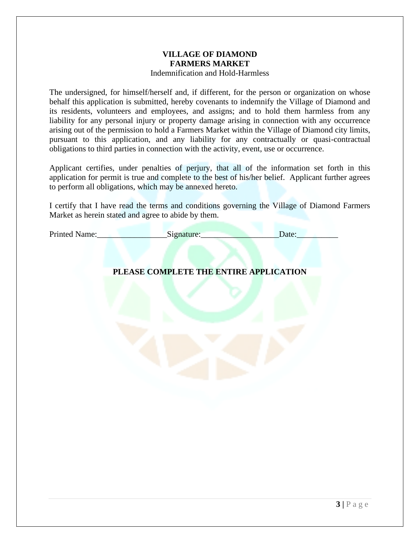#### **VILLAGE OF DIAMOND FARMERS MARKET** Indemnification and Hold-Harmless

The undersigned, for himself/herself and, if different, for the person or organization on whose behalf this application is submitted, hereby covenants to indemnify the Village of Diamond and its residents, volunteers and employees, and assigns; and to hold them harmless from any liability for any personal injury or property damage arising in connection with any occurrence arising out of the permission to hold a Farmers Market within the Village of Diamond city limits, pursuant to this application, and any liability for any contractually or quasi-contractual obligations to third parties in connection with the activity, event, use or occurrence.

Applicant certifies, under penalties of perjury, that all of the information set forth in this application for permit is true and complete to the best of his/her belief. Applicant further agrees to perform all obligations, which may be annexed hereto.

I certify that I have read the terms and conditions governing the Village of Diamond Farmers Market as herein stated and agree to abide by them.

Printed Name:\_\_\_\_\_\_\_\_\_\_\_\_\_\_\_\_\_Signature:\_\_\_\_\_\_\_\_\_\_\_\_\_\_\_\_\_\_\_Date:\_\_\_\_\_\_\_\_\_\_

# **PLEASE COMPLETE THE ENTIRE APPLICATION**